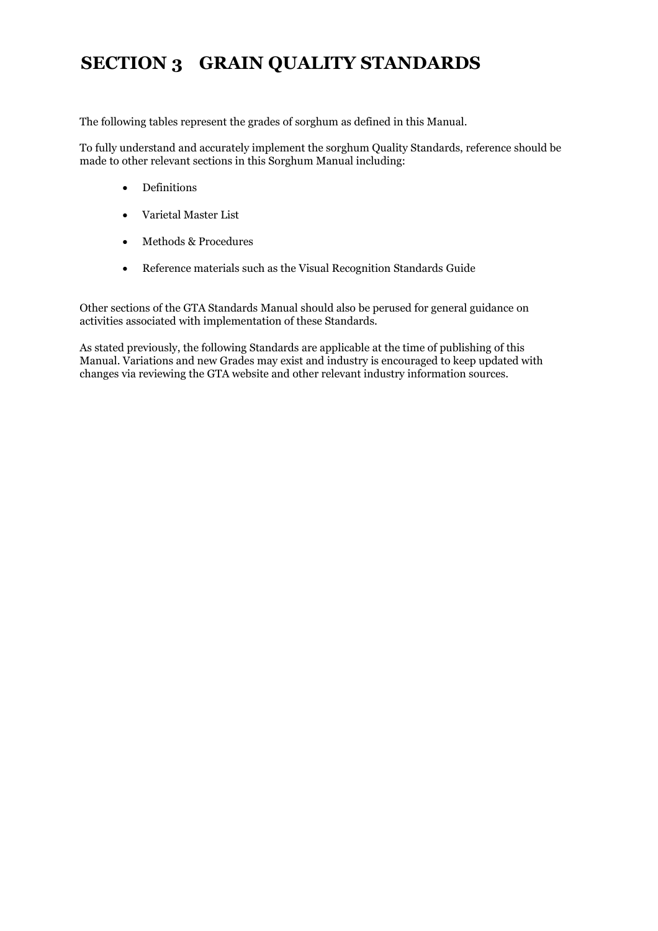## **SECTION 3 GRAIN QUALITY STANDARDS**

The following tables represent the grades of sorghum as defined in this Manual.

To fully understand and accurately implement the sorghum Quality Standards, reference should be made to other relevant sections in this Sorghum Manual including:

- Definitions
- Varietal Master List
- Methods & Procedures
- Reference materials such as the Visual Recognition Standards Guide

Other sections of the GTA Standards Manual should also be perused for general guidance on activities associated with implementation of these Standards.

As stated previously, the following Standards are applicable at the time of publishing of this Manual. Variations and new Grades may exist and industry is encouraged to keep updated with changes via reviewing the GTA website and other relevant industry information sources.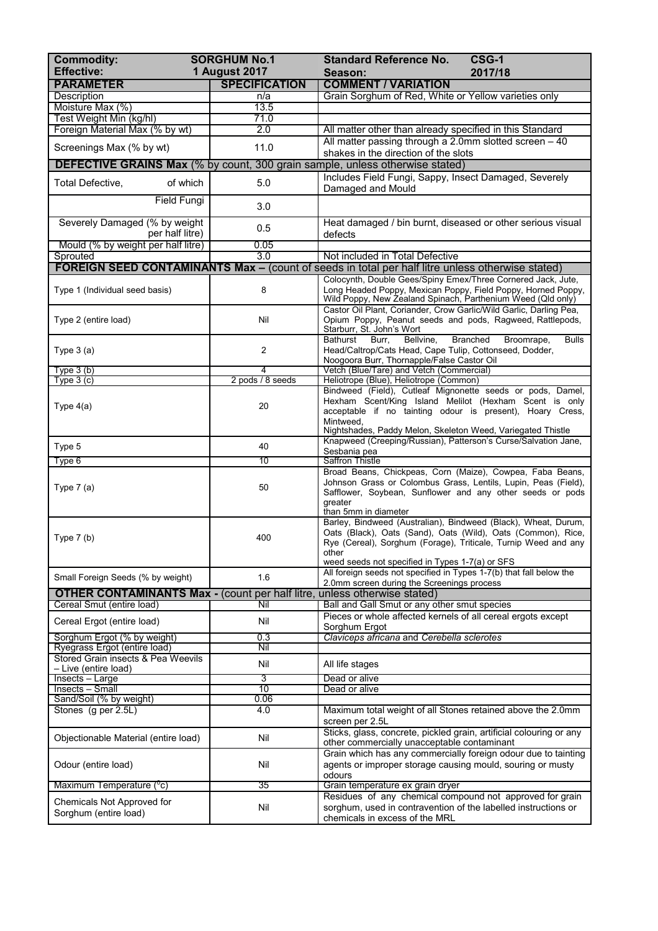| <b>PARAMETER</b><br><b>SPECIFICATION</b><br><b>COMMENT / VARIATION</b><br>Grain Sorghum of Red, White or Yellow varieties only<br><b>Description</b><br>n/a<br>13.5<br>Moisture Max (%)<br>Test Weight Min (kg/hl)<br>71.0<br>Foreign Material Max (% by wt)<br>2.0<br>All matter other than already specified in this Standard<br>All matter passing through a 2.0mm slotted screen - 40<br>11.0<br>Screenings Max (% by wt)<br>shakes in the direction of the slots<br><b>DEFECTIVE GRAINS Max</b> (% by count, 300 grain sample, unless otherwise stated)<br>Includes Field Fungi, Sappy, Insect Damaged, Severely<br>of which<br>5.0<br>Total Defective,<br>Damaged and Mould<br><b>Field Fungi</b><br>3.0<br>Severely Damaged (% by weight<br>Heat damaged / bin burnt, diseased or other serious visual<br>0.5<br>per half litre)<br>defects<br>Mould (% by weight per half litre)<br>0.05<br>$\overline{3.0}$<br>Sprouted<br>Not included in Total Defective<br><b>FOREIGN SEED CONTAMINANTS Max - (count of seeds in total per half litre unless otherwise stated)</b><br>Colocynth, Double Gees/Spiny Emex/Three Cornered Jack, Jute,<br>8<br>Long Headed Poppy, Mexican Poppy, Field Poppy, Horned Poppy,<br>Type 1 (Individual seed basis)<br>Wild Poppy, New Zealand Spinach, Parthenium Weed (Qld only)<br>Castor Oil Plant, Coriander, Crow Garlic/Wild Garlic, Darling Pea,<br>Type 2 (entire load)<br>Nil<br>Opium Poppy, Peanut seeds and pods, Ragweed, Rattlepods,<br>Starburr, St. John's Wort<br>Burr,<br>Bellvine,<br>Branched<br>Broomrape,<br>Bathurst<br><b>Bulls</b><br>$\overline{c}$<br>Head/Caltrop/Cats Head, Cape Tulip, Cottonseed, Dodder,<br>Type $3(a)$<br>Noogoora Burr, Thornapple/False Castor Oil<br>Type $3(b)$<br>4<br>Vetch (Blue/Tare) and Vetch (Commercial)<br>2 pods / 8 seeds<br>Type $3(c)$<br>Heliotrope (Blue), Heliotrope (Common)<br>Bindweed (Field), Cutleaf Mignonette seeds or pods, Damel,<br>Hexham Scent/King Island Melilot (Hexham Scent is only<br>20<br>Type $4(a)$<br>acceptable if no tainting odour is present), Hoary Cress,<br>Mintweed.<br>Nightshades, Paddy Melon, Skeleton Weed, Variegated Thistle<br>Knapweed (Creeping/Russian), Patterson's Curse/Salvation Jane,<br>Type 5<br>40<br>Sesbania pea<br>10<br><b>Saffron Thistle</b><br>Type 6<br>Broad Beans, Chickpeas, Corn (Maize), Cowpea, Faba Beans,<br>Johnson Grass or Colombus Grass, Lentils, Lupin, Peas (Field),<br>50<br>Type $7(a)$<br>Safflower, Soybean, Sunflower and any other seeds or pods<br>greater<br>than 5mm in diameter<br>Barley, Bindweed (Australian), Bindweed (Black), Wheat, Durum,<br>Oats (Black), Oats (Sand), Oats (Wild), Oats (Common), Rice,<br>400<br>Type $7(b)$<br>other<br>weed seeds not specified in Types 1-7(a) or SFS<br>All foreign seeds not specified in Types 1-7(b) that fall below the<br>1.6<br>Small Foreign Seeds (% by weight)<br>2.0mm screen during the Screenings process<br><b>OTHER CONTAMINANTS Max - (count per half litre, unless otherwise stated)</b><br>Cereal Smut (entire load)<br>Nil<br>Ball and Gall Smut or any other smut species<br>Pieces or whole affected kernels of all cereal ergots except<br>Nil<br>Cereal Ergot (entire load)<br>Sorghum Ergot<br>0.3<br>Sorghum Ergot (% by weight)<br>Claviceps africana and Cerebella sclerotes<br>Ryegrass Ergot (entire load)<br>Nil<br>Stored Grain insects & Pea Weevils<br>Nil<br>All life stages<br>- Live (entire load)<br>$\overline{3}$<br>Dead or alive<br>Insects - Large<br>$\overline{10}$<br>Insects - Small<br>Dead or alive<br>Sand/Soil (% by weight)<br>0.06<br>Stones (g per 2.5L)<br>4.0<br>Maximum total weight of all Stones retained above the 2.0mm<br>screen per 2.5L<br>Sticks, glass, concrete, pickled grain, artificial colouring or any<br>Nil<br>Objectionable Material (entire load)<br>other commercially unacceptable contaminant<br>Grain which has any commercially foreign odour due to tainting<br>Nil<br>agents or improper storage causing mould, souring or musty<br>Odour (entire load)<br>odours<br>35<br>Maximum Temperature (°c)<br>Grain temperature ex grain dryer<br>Residues of any chemical compound not approved for grain<br>Chemicals Not Approved for<br>Nil<br>sorghum, used in contravention of the labelled instructions or<br>Sorghum (entire load) | <b>Commodity:</b><br><b>Effective:</b> | <b>SORGHUM No.1</b><br><b>1 August 2017</b> | CSG-1<br><b>Standard Reference No.</b><br>2017/18<br>Season:   |  |
|-----------------------------------------------------------------------------------------------------------------------------------------------------------------------------------------------------------------------------------------------------------------------------------------------------------------------------------------------------------------------------------------------------------------------------------------------------------------------------------------------------------------------------------------------------------------------------------------------------------------------------------------------------------------------------------------------------------------------------------------------------------------------------------------------------------------------------------------------------------------------------------------------------------------------------------------------------------------------------------------------------------------------------------------------------------------------------------------------------------------------------------------------------------------------------------------------------------------------------------------------------------------------------------------------------------------------------------------------------------------------------------------------------------------------------------------------------------------------------------------------------------------------------------------------------------------------------------------------------------------------------------------------------------------------------------------------------------------------------------------------------------------------------------------------------------------------------------------------------------------------------------------------------------------------------------------------------------------------------------------------------------------------------------------------------------------------------------------------------------------------------------------------------------------------------------------------------------------------------------------------------------------------------------------------------------------------------------------------------------------------------------------------------------------------------------------------------------------------------------------------------------------------------------------------------------------------------------------------------------------------------------------------------------------------------------------------------------------------------------------------------------------------------------------------------------------------------------------------------------------------------------------------------------------------------------------------------------------------------------------------------------------------------------------------------------------------------------------------------------------------------------------------------------------------------------------------------------------------------------------------------------------------------------------------------------------------------------------------------------------------------------------------------------------------------------------------------------------------------------------------------------------------------------------------------------------------------------------------------------------------------------------------------------------------------------------------------------------------------------------------------------------------------------------------------------------------------------------------------------------------------------------------------------------------------------------------------------------------------------------------------------------------------------------------------------------------------------------------------------------------------------------------------------------------------------------------------------------------------------------------------------------------------------------------------------------------------------------------------------------|----------------------------------------|---------------------------------------------|----------------------------------------------------------------|--|
|                                                                                                                                                                                                                                                                                                                                                                                                                                                                                                                                                                                                                                                                                                                                                                                                                                                                                                                                                                                                                                                                                                                                                                                                                                                                                                                                                                                                                                                                                                                                                                                                                                                                                                                                                                                                                                                                                                                                                                                                                                                                                                                                                                                                                                                                                                                                                                                                                                                                                                                                                                                                                                                                                                                                                                                                                                                                                                                                                                                                                                                                                                                                                                                                                                                                                                                                                                                                                                                                                                                                                                                                                                                                                                                                                                                                                                                                                                                                                                                                                                                                                                                                                                                                                                                                                                                                                                 |                                        |                                             |                                                                |  |
|                                                                                                                                                                                                                                                                                                                                                                                                                                                                                                                                                                                                                                                                                                                                                                                                                                                                                                                                                                                                                                                                                                                                                                                                                                                                                                                                                                                                                                                                                                                                                                                                                                                                                                                                                                                                                                                                                                                                                                                                                                                                                                                                                                                                                                                                                                                                                                                                                                                                                                                                                                                                                                                                                                                                                                                                                                                                                                                                                                                                                                                                                                                                                                                                                                                                                                                                                                                                                                                                                                                                                                                                                                                                                                                                                                                                                                                                                                                                                                                                                                                                                                                                                                                                                                                                                                                                                                 |                                        |                                             |                                                                |  |
|                                                                                                                                                                                                                                                                                                                                                                                                                                                                                                                                                                                                                                                                                                                                                                                                                                                                                                                                                                                                                                                                                                                                                                                                                                                                                                                                                                                                                                                                                                                                                                                                                                                                                                                                                                                                                                                                                                                                                                                                                                                                                                                                                                                                                                                                                                                                                                                                                                                                                                                                                                                                                                                                                                                                                                                                                                                                                                                                                                                                                                                                                                                                                                                                                                                                                                                                                                                                                                                                                                                                                                                                                                                                                                                                                                                                                                                                                                                                                                                                                                                                                                                                                                                                                                                                                                                                                                 |                                        |                                             |                                                                |  |
|                                                                                                                                                                                                                                                                                                                                                                                                                                                                                                                                                                                                                                                                                                                                                                                                                                                                                                                                                                                                                                                                                                                                                                                                                                                                                                                                                                                                                                                                                                                                                                                                                                                                                                                                                                                                                                                                                                                                                                                                                                                                                                                                                                                                                                                                                                                                                                                                                                                                                                                                                                                                                                                                                                                                                                                                                                                                                                                                                                                                                                                                                                                                                                                                                                                                                                                                                                                                                                                                                                                                                                                                                                                                                                                                                                                                                                                                                                                                                                                                                                                                                                                                                                                                                                                                                                                                                                 |                                        |                                             |                                                                |  |
|                                                                                                                                                                                                                                                                                                                                                                                                                                                                                                                                                                                                                                                                                                                                                                                                                                                                                                                                                                                                                                                                                                                                                                                                                                                                                                                                                                                                                                                                                                                                                                                                                                                                                                                                                                                                                                                                                                                                                                                                                                                                                                                                                                                                                                                                                                                                                                                                                                                                                                                                                                                                                                                                                                                                                                                                                                                                                                                                                                                                                                                                                                                                                                                                                                                                                                                                                                                                                                                                                                                                                                                                                                                                                                                                                                                                                                                                                                                                                                                                                                                                                                                                                                                                                                                                                                                                                                 |                                        |                                             |                                                                |  |
|                                                                                                                                                                                                                                                                                                                                                                                                                                                                                                                                                                                                                                                                                                                                                                                                                                                                                                                                                                                                                                                                                                                                                                                                                                                                                                                                                                                                                                                                                                                                                                                                                                                                                                                                                                                                                                                                                                                                                                                                                                                                                                                                                                                                                                                                                                                                                                                                                                                                                                                                                                                                                                                                                                                                                                                                                                                                                                                                                                                                                                                                                                                                                                                                                                                                                                                                                                                                                                                                                                                                                                                                                                                                                                                                                                                                                                                                                                                                                                                                                                                                                                                                                                                                                                                                                                                                                                 |                                        |                                             |                                                                |  |
|                                                                                                                                                                                                                                                                                                                                                                                                                                                                                                                                                                                                                                                                                                                                                                                                                                                                                                                                                                                                                                                                                                                                                                                                                                                                                                                                                                                                                                                                                                                                                                                                                                                                                                                                                                                                                                                                                                                                                                                                                                                                                                                                                                                                                                                                                                                                                                                                                                                                                                                                                                                                                                                                                                                                                                                                                                                                                                                                                                                                                                                                                                                                                                                                                                                                                                                                                                                                                                                                                                                                                                                                                                                                                                                                                                                                                                                                                                                                                                                                                                                                                                                                                                                                                                                                                                                                                                 |                                        |                                             |                                                                |  |
|                                                                                                                                                                                                                                                                                                                                                                                                                                                                                                                                                                                                                                                                                                                                                                                                                                                                                                                                                                                                                                                                                                                                                                                                                                                                                                                                                                                                                                                                                                                                                                                                                                                                                                                                                                                                                                                                                                                                                                                                                                                                                                                                                                                                                                                                                                                                                                                                                                                                                                                                                                                                                                                                                                                                                                                                                                                                                                                                                                                                                                                                                                                                                                                                                                                                                                                                                                                                                                                                                                                                                                                                                                                                                                                                                                                                                                                                                                                                                                                                                                                                                                                                                                                                                                                                                                                                                                 |                                        |                                             |                                                                |  |
|                                                                                                                                                                                                                                                                                                                                                                                                                                                                                                                                                                                                                                                                                                                                                                                                                                                                                                                                                                                                                                                                                                                                                                                                                                                                                                                                                                                                                                                                                                                                                                                                                                                                                                                                                                                                                                                                                                                                                                                                                                                                                                                                                                                                                                                                                                                                                                                                                                                                                                                                                                                                                                                                                                                                                                                                                                                                                                                                                                                                                                                                                                                                                                                                                                                                                                                                                                                                                                                                                                                                                                                                                                                                                                                                                                                                                                                                                                                                                                                                                                                                                                                                                                                                                                                                                                                                                                 |                                        |                                             |                                                                |  |
|                                                                                                                                                                                                                                                                                                                                                                                                                                                                                                                                                                                                                                                                                                                                                                                                                                                                                                                                                                                                                                                                                                                                                                                                                                                                                                                                                                                                                                                                                                                                                                                                                                                                                                                                                                                                                                                                                                                                                                                                                                                                                                                                                                                                                                                                                                                                                                                                                                                                                                                                                                                                                                                                                                                                                                                                                                                                                                                                                                                                                                                                                                                                                                                                                                                                                                                                                                                                                                                                                                                                                                                                                                                                                                                                                                                                                                                                                                                                                                                                                                                                                                                                                                                                                                                                                                                                                                 |                                        |                                             |                                                                |  |
|                                                                                                                                                                                                                                                                                                                                                                                                                                                                                                                                                                                                                                                                                                                                                                                                                                                                                                                                                                                                                                                                                                                                                                                                                                                                                                                                                                                                                                                                                                                                                                                                                                                                                                                                                                                                                                                                                                                                                                                                                                                                                                                                                                                                                                                                                                                                                                                                                                                                                                                                                                                                                                                                                                                                                                                                                                                                                                                                                                                                                                                                                                                                                                                                                                                                                                                                                                                                                                                                                                                                                                                                                                                                                                                                                                                                                                                                                                                                                                                                                                                                                                                                                                                                                                                                                                                                                                 |                                        |                                             |                                                                |  |
|                                                                                                                                                                                                                                                                                                                                                                                                                                                                                                                                                                                                                                                                                                                                                                                                                                                                                                                                                                                                                                                                                                                                                                                                                                                                                                                                                                                                                                                                                                                                                                                                                                                                                                                                                                                                                                                                                                                                                                                                                                                                                                                                                                                                                                                                                                                                                                                                                                                                                                                                                                                                                                                                                                                                                                                                                                                                                                                                                                                                                                                                                                                                                                                                                                                                                                                                                                                                                                                                                                                                                                                                                                                                                                                                                                                                                                                                                                                                                                                                                                                                                                                                                                                                                                                                                                                                                                 |                                        |                                             |                                                                |  |
|                                                                                                                                                                                                                                                                                                                                                                                                                                                                                                                                                                                                                                                                                                                                                                                                                                                                                                                                                                                                                                                                                                                                                                                                                                                                                                                                                                                                                                                                                                                                                                                                                                                                                                                                                                                                                                                                                                                                                                                                                                                                                                                                                                                                                                                                                                                                                                                                                                                                                                                                                                                                                                                                                                                                                                                                                                                                                                                                                                                                                                                                                                                                                                                                                                                                                                                                                                                                                                                                                                                                                                                                                                                                                                                                                                                                                                                                                                                                                                                                                                                                                                                                                                                                                                                                                                                                                                 |                                        |                                             |                                                                |  |
|                                                                                                                                                                                                                                                                                                                                                                                                                                                                                                                                                                                                                                                                                                                                                                                                                                                                                                                                                                                                                                                                                                                                                                                                                                                                                                                                                                                                                                                                                                                                                                                                                                                                                                                                                                                                                                                                                                                                                                                                                                                                                                                                                                                                                                                                                                                                                                                                                                                                                                                                                                                                                                                                                                                                                                                                                                                                                                                                                                                                                                                                                                                                                                                                                                                                                                                                                                                                                                                                                                                                                                                                                                                                                                                                                                                                                                                                                                                                                                                                                                                                                                                                                                                                                                                                                                                                                                 |                                        |                                             |                                                                |  |
|                                                                                                                                                                                                                                                                                                                                                                                                                                                                                                                                                                                                                                                                                                                                                                                                                                                                                                                                                                                                                                                                                                                                                                                                                                                                                                                                                                                                                                                                                                                                                                                                                                                                                                                                                                                                                                                                                                                                                                                                                                                                                                                                                                                                                                                                                                                                                                                                                                                                                                                                                                                                                                                                                                                                                                                                                                                                                                                                                                                                                                                                                                                                                                                                                                                                                                                                                                                                                                                                                                                                                                                                                                                                                                                                                                                                                                                                                                                                                                                                                                                                                                                                                                                                                                                                                                                                                                 |                                        |                                             |                                                                |  |
|                                                                                                                                                                                                                                                                                                                                                                                                                                                                                                                                                                                                                                                                                                                                                                                                                                                                                                                                                                                                                                                                                                                                                                                                                                                                                                                                                                                                                                                                                                                                                                                                                                                                                                                                                                                                                                                                                                                                                                                                                                                                                                                                                                                                                                                                                                                                                                                                                                                                                                                                                                                                                                                                                                                                                                                                                                                                                                                                                                                                                                                                                                                                                                                                                                                                                                                                                                                                                                                                                                                                                                                                                                                                                                                                                                                                                                                                                                                                                                                                                                                                                                                                                                                                                                                                                                                                                                 |                                        |                                             |                                                                |  |
|                                                                                                                                                                                                                                                                                                                                                                                                                                                                                                                                                                                                                                                                                                                                                                                                                                                                                                                                                                                                                                                                                                                                                                                                                                                                                                                                                                                                                                                                                                                                                                                                                                                                                                                                                                                                                                                                                                                                                                                                                                                                                                                                                                                                                                                                                                                                                                                                                                                                                                                                                                                                                                                                                                                                                                                                                                                                                                                                                                                                                                                                                                                                                                                                                                                                                                                                                                                                                                                                                                                                                                                                                                                                                                                                                                                                                                                                                                                                                                                                                                                                                                                                                                                                                                                                                                                                                                 |                                        |                                             |                                                                |  |
|                                                                                                                                                                                                                                                                                                                                                                                                                                                                                                                                                                                                                                                                                                                                                                                                                                                                                                                                                                                                                                                                                                                                                                                                                                                                                                                                                                                                                                                                                                                                                                                                                                                                                                                                                                                                                                                                                                                                                                                                                                                                                                                                                                                                                                                                                                                                                                                                                                                                                                                                                                                                                                                                                                                                                                                                                                                                                                                                                                                                                                                                                                                                                                                                                                                                                                                                                                                                                                                                                                                                                                                                                                                                                                                                                                                                                                                                                                                                                                                                                                                                                                                                                                                                                                                                                                                                                                 |                                        |                                             |                                                                |  |
|                                                                                                                                                                                                                                                                                                                                                                                                                                                                                                                                                                                                                                                                                                                                                                                                                                                                                                                                                                                                                                                                                                                                                                                                                                                                                                                                                                                                                                                                                                                                                                                                                                                                                                                                                                                                                                                                                                                                                                                                                                                                                                                                                                                                                                                                                                                                                                                                                                                                                                                                                                                                                                                                                                                                                                                                                                                                                                                                                                                                                                                                                                                                                                                                                                                                                                                                                                                                                                                                                                                                                                                                                                                                                                                                                                                                                                                                                                                                                                                                                                                                                                                                                                                                                                                                                                                                                                 |                                        |                                             |                                                                |  |
|                                                                                                                                                                                                                                                                                                                                                                                                                                                                                                                                                                                                                                                                                                                                                                                                                                                                                                                                                                                                                                                                                                                                                                                                                                                                                                                                                                                                                                                                                                                                                                                                                                                                                                                                                                                                                                                                                                                                                                                                                                                                                                                                                                                                                                                                                                                                                                                                                                                                                                                                                                                                                                                                                                                                                                                                                                                                                                                                                                                                                                                                                                                                                                                                                                                                                                                                                                                                                                                                                                                                                                                                                                                                                                                                                                                                                                                                                                                                                                                                                                                                                                                                                                                                                                                                                                                                                                 |                                        |                                             |                                                                |  |
|                                                                                                                                                                                                                                                                                                                                                                                                                                                                                                                                                                                                                                                                                                                                                                                                                                                                                                                                                                                                                                                                                                                                                                                                                                                                                                                                                                                                                                                                                                                                                                                                                                                                                                                                                                                                                                                                                                                                                                                                                                                                                                                                                                                                                                                                                                                                                                                                                                                                                                                                                                                                                                                                                                                                                                                                                                                                                                                                                                                                                                                                                                                                                                                                                                                                                                                                                                                                                                                                                                                                                                                                                                                                                                                                                                                                                                                                                                                                                                                                                                                                                                                                                                                                                                                                                                                                                                 |                                        |                                             |                                                                |  |
|                                                                                                                                                                                                                                                                                                                                                                                                                                                                                                                                                                                                                                                                                                                                                                                                                                                                                                                                                                                                                                                                                                                                                                                                                                                                                                                                                                                                                                                                                                                                                                                                                                                                                                                                                                                                                                                                                                                                                                                                                                                                                                                                                                                                                                                                                                                                                                                                                                                                                                                                                                                                                                                                                                                                                                                                                                                                                                                                                                                                                                                                                                                                                                                                                                                                                                                                                                                                                                                                                                                                                                                                                                                                                                                                                                                                                                                                                                                                                                                                                                                                                                                                                                                                                                                                                                                                                                 |                                        |                                             |                                                                |  |
|                                                                                                                                                                                                                                                                                                                                                                                                                                                                                                                                                                                                                                                                                                                                                                                                                                                                                                                                                                                                                                                                                                                                                                                                                                                                                                                                                                                                                                                                                                                                                                                                                                                                                                                                                                                                                                                                                                                                                                                                                                                                                                                                                                                                                                                                                                                                                                                                                                                                                                                                                                                                                                                                                                                                                                                                                                                                                                                                                                                                                                                                                                                                                                                                                                                                                                                                                                                                                                                                                                                                                                                                                                                                                                                                                                                                                                                                                                                                                                                                                                                                                                                                                                                                                                                                                                                                                                 |                                        |                                             | Rye (Cereal), Sorghum (Forage), Triticale, Turnip Weed and any |  |
|                                                                                                                                                                                                                                                                                                                                                                                                                                                                                                                                                                                                                                                                                                                                                                                                                                                                                                                                                                                                                                                                                                                                                                                                                                                                                                                                                                                                                                                                                                                                                                                                                                                                                                                                                                                                                                                                                                                                                                                                                                                                                                                                                                                                                                                                                                                                                                                                                                                                                                                                                                                                                                                                                                                                                                                                                                                                                                                                                                                                                                                                                                                                                                                                                                                                                                                                                                                                                                                                                                                                                                                                                                                                                                                                                                                                                                                                                                                                                                                                                                                                                                                                                                                                                                                                                                                                                                 |                                        |                                             |                                                                |  |
|                                                                                                                                                                                                                                                                                                                                                                                                                                                                                                                                                                                                                                                                                                                                                                                                                                                                                                                                                                                                                                                                                                                                                                                                                                                                                                                                                                                                                                                                                                                                                                                                                                                                                                                                                                                                                                                                                                                                                                                                                                                                                                                                                                                                                                                                                                                                                                                                                                                                                                                                                                                                                                                                                                                                                                                                                                                                                                                                                                                                                                                                                                                                                                                                                                                                                                                                                                                                                                                                                                                                                                                                                                                                                                                                                                                                                                                                                                                                                                                                                                                                                                                                                                                                                                                                                                                                                                 |                                        |                                             |                                                                |  |
|                                                                                                                                                                                                                                                                                                                                                                                                                                                                                                                                                                                                                                                                                                                                                                                                                                                                                                                                                                                                                                                                                                                                                                                                                                                                                                                                                                                                                                                                                                                                                                                                                                                                                                                                                                                                                                                                                                                                                                                                                                                                                                                                                                                                                                                                                                                                                                                                                                                                                                                                                                                                                                                                                                                                                                                                                                                                                                                                                                                                                                                                                                                                                                                                                                                                                                                                                                                                                                                                                                                                                                                                                                                                                                                                                                                                                                                                                                                                                                                                                                                                                                                                                                                                                                                                                                                                                                 |                                        |                                             |                                                                |  |
|                                                                                                                                                                                                                                                                                                                                                                                                                                                                                                                                                                                                                                                                                                                                                                                                                                                                                                                                                                                                                                                                                                                                                                                                                                                                                                                                                                                                                                                                                                                                                                                                                                                                                                                                                                                                                                                                                                                                                                                                                                                                                                                                                                                                                                                                                                                                                                                                                                                                                                                                                                                                                                                                                                                                                                                                                                                                                                                                                                                                                                                                                                                                                                                                                                                                                                                                                                                                                                                                                                                                                                                                                                                                                                                                                                                                                                                                                                                                                                                                                                                                                                                                                                                                                                                                                                                                                                 |                                        |                                             |                                                                |  |
|                                                                                                                                                                                                                                                                                                                                                                                                                                                                                                                                                                                                                                                                                                                                                                                                                                                                                                                                                                                                                                                                                                                                                                                                                                                                                                                                                                                                                                                                                                                                                                                                                                                                                                                                                                                                                                                                                                                                                                                                                                                                                                                                                                                                                                                                                                                                                                                                                                                                                                                                                                                                                                                                                                                                                                                                                                                                                                                                                                                                                                                                                                                                                                                                                                                                                                                                                                                                                                                                                                                                                                                                                                                                                                                                                                                                                                                                                                                                                                                                                                                                                                                                                                                                                                                                                                                                                                 |                                        |                                             |                                                                |  |
|                                                                                                                                                                                                                                                                                                                                                                                                                                                                                                                                                                                                                                                                                                                                                                                                                                                                                                                                                                                                                                                                                                                                                                                                                                                                                                                                                                                                                                                                                                                                                                                                                                                                                                                                                                                                                                                                                                                                                                                                                                                                                                                                                                                                                                                                                                                                                                                                                                                                                                                                                                                                                                                                                                                                                                                                                                                                                                                                                                                                                                                                                                                                                                                                                                                                                                                                                                                                                                                                                                                                                                                                                                                                                                                                                                                                                                                                                                                                                                                                                                                                                                                                                                                                                                                                                                                                                                 |                                        |                                             |                                                                |  |
|                                                                                                                                                                                                                                                                                                                                                                                                                                                                                                                                                                                                                                                                                                                                                                                                                                                                                                                                                                                                                                                                                                                                                                                                                                                                                                                                                                                                                                                                                                                                                                                                                                                                                                                                                                                                                                                                                                                                                                                                                                                                                                                                                                                                                                                                                                                                                                                                                                                                                                                                                                                                                                                                                                                                                                                                                                                                                                                                                                                                                                                                                                                                                                                                                                                                                                                                                                                                                                                                                                                                                                                                                                                                                                                                                                                                                                                                                                                                                                                                                                                                                                                                                                                                                                                                                                                                                                 |                                        |                                             |                                                                |  |
|                                                                                                                                                                                                                                                                                                                                                                                                                                                                                                                                                                                                                                                                                                                                                                                                                                                                                                                                                                                                                                                                                                                                                                                                                                                                                                                                                                                                                                                                                                                                                                                                                                                                                                                                                                                                                                                                                                                                                                                                                                                                                                                                                                                                                                                                                                                                                                                                                                                                                                                                                                                                                                                                                                                                                                                                                                                                                                                                                                                                                                                                                                                                                                                                                                                                                                                                                                                                                                                                                                                                                                                                                                                                                                                                                                                                                                                                                                                                                                                                                                                                                                                                                                                                                                                                                                                                                                 |                                        |                                             |                                                                |  |
|                                                                                                                                                                                                                                                                                                                                                                                                                                                                                                                                                                                                                                                                                                                                                                                                                                                                                                                                                                                                                                                                                                                                                                                                                                                                                                                                                                                                                                                                                                                                                                                                                                                                                                                                                                                                                                                                                                                                                                                                                                                                                                                                                                                                                                                                                                                                                                                                                                                                                                                                                                                                                                                                                                                                                                                                                                                                                                                                                                                                                                                                                                                                                                                                                                                                                                                                                                                                                                                                                                                                                                                                                                                                                                                                                                                                                                                                                                                                                                                                                                                                                                                                                                                                                                                                                                                                                                 |                                        |                                             |                                                                |  |
|                                                                                                                                                                                                                                                                                                                                                                                                                                                                                                                                                                                                                                                                                                                                                                                                                                                                                                                                                                                                                                                                                                                                                                                                                                                                                                                                                                                                                                                                                                                                                                                                                                                                                                                                                                                                                                                                                                                                                                                                                                                                                                                                                                                                                                                                                                                                                                                                                                                                                                                                                                                                                                                                                                                                                                                                                                                                                                                                                                                                                                                                                                                                                                                                                                                                                                                                                                                                                                                                                                                                                                                                                                                                                                                                                                                                                                                                                                                                                                                                                                                                                                                                                                                                                                                                                                                                                                 |                                        |                                             |                                                                |  |
|                                                                                                                                                                                                                                                                                                                                                                                                                                                                                                                                                                                                                                                                                                                                                                                                                                                                                                                                                                                                                                                                                                                                                                                                                                                                                                                                                                                                                                                                                                                                                                                                                                                                                                                                                                                                                                                                                                                                                                                                                                                                                                                                                                                                                                                                                                                                                                                                                                                                                                                                                                                                                                                                                                                                                                                                                                                                                                                                                                                                                                                                                                                                                                                                                                                                                                                                                                                                                                                                                                                                                                                                                                                                                                                                                                                                                                                                                                                                                                                                                                                                                                                                                                                                                                                                                                                                                                 |                                        |                                             |                                                                |  |
|                                                                                                                                                                                                                                                                                                                                                                                                                                                                                                                                                                                                                                                                                                                                                                                                                                                                                                                                                                                                                                                                                                                                                                                                                                                                                                                                                                                                                                                                                                                                                                                                                                                                                                                                                                                                                                                                                                                                                                                                                                                                                                                                                                                                                                                                                                                                                                                                                                                                                                                                                                                                                                                                                                                                                                                                                                                                                                                                                                                                                                                                                                                                                                                                                                                                                                                                                                                                                                                                                                                                                                                                                                                                                                                                                                                                                                                                                                                                                                                                                                                                                                                                                                                                                                                                                                                                                                 |                                        |                                             |                                                                |  |
|                                                                                                                                                                                                                                                                                                                                                                                                                                                                                                                                                                                                                                                                                                                                                                                                                                                                                                                                                                                                                                                                                                                                                                                                                                                                                                                                                                                                                                                                                                                                                                                                                                                                                                                                                                                                                                                                                                                                                                                                                                                                                                                                                                                                                                                                                                                                                                                                                                                                                                                                                                                                                                                                                                                                                                                                                                                                                                                                                                                                                                                                                                                                                                                                                                                                                                                                                                                                                                                                                                                                                                                                                                                                                                                                                                                                                                                                                                                                                                                                                                                                                                                                                                                                                                                                                                                                                                 |                                        |                                             |                                                                |  |
|                                                                                                                                                                                                                                                                                                                                                                                                                                                                                                                                                                                                                                                                                                                                                                                                                                                                                                                                                                                                                                                                                                                                                                                                                                                                                                                                                                                                                                                                                                                                                                                                                                                                                                                                                                                                                                                                                                                                                                                                                                                                                                                                                                                                                                                                                                                                                                                                                                                                                                                                                                                                                                                                                                                                                                                                                                                                                                                                                                                                                                                                                                                                                                                                                                                                                                                                                                                                                                                                                                                                                                                                                                                                                                                                                                                                                                                                                                                                                                                                                                                                                                                                                                                                                                                                                                                                                                 |                                        |                                             |                                                                |  |
|                                                                                                                                                                                                                                                                                                                                                                                                                                                                                                                                                                                                                                                                                                                                                                                                                                                                                                                                                                                                                                                                                                                                                                                                                                                                                                                                                                                                                                                                                                                                                                                                                                                                                                                                                                                                                                                                                                                                                                                                                                                                                                                                                                                                                                                                                                                                                                                                                                                                                                                                                                                                                                                                                                                                                                                                                                                                                                                                                                                                                                                                                                                                                                                                                                                                                                                                                                                                                                                                                                                                                                                                                                                                                                                                                                                                                                                                                                                                                                                                                                                                                                                                                                                                                                                                                                                                                                 |                                        |                                             |                                                                |  |
|                                                                                                                                                                                                                                                                                                                                                                                                                                                                                                                                                                                                                                                                                                                                                                                                                                                                                                                                                                                                                                                                                                                                                                                                                                                                                                                                                                                                                                                                                                                                                                                                                                                                                                                                                                                                                                                                                                                                                                                                                                                                                                                                                                                                                                                                                                                                                                                                                                                                                                                                                                                                                                                                                                                                                                                                                                                                                                                                                                                                                                                                                                                                                                                                                                                                                                                                                                                                                                                                                                                                                                                                                                                                                                                                                                                                                                                                                                                                                                                                                                                                                                                                                                                                                                                                                                                                                                 |                                        |                                             | chemicals in excess of the MRL                                 |  |